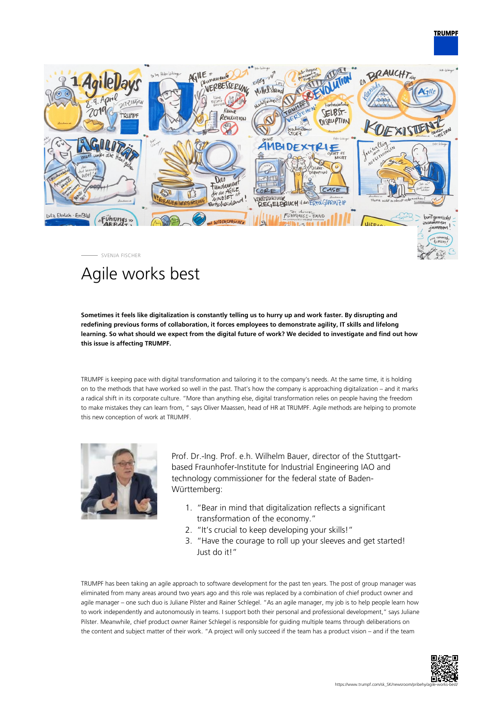## **TRUMPF**



# Agile works best

**Sometimes it feels like digitalization is constantly telling us to hurry up and work faster. By disrupting and redefining previous forms of collaboration, it forces employees to demonstrate agility, IT skills and lifelong learning. So what should we expect from the digital future of work? We decided to investigate and find out how this issue is affecting TRUMPF.**

TRUMPF is keeping pace with digital transformation and tailoring it to the company's needs. At the same time, it is holding on to the methods that have worked so well in the past. That's how the company is approaching digitalization – and it marks a radical shift in its corporate culture. "More than anything else, digital transformation relies on people having the freedom to make mistakes they can learn from, " says Oliver Maassen, head of HR at TRUMPF. Agile methods are helping to promote this new conception of work at TRUMPF.



Prof. Dr.-Ing. Prof. e.h. Wilhelm Bauer, director of the Stuttgartbased Fraunhofer-Institute for Industrial Engineering IAO and technology commissioner for the federal state of Baden-Württemberg:

- 1. "Bear in mind that digitalization reflects a significant transformation of the economy."
- 2. "It's crucial to keep developing your skills!"
- 3. "Have the courage to roll up your sleeves and get started! Just do it!"

TRUMPF has been taking an agile approach to software development for the past ten years. The post of group manager was eliminated from many areas around two years ago and this role was replaced by a combination of chief product owner and agile manager – one such duo is Juliane Pilster and Rainer Schlegel. "As an agile manager, my job is to help people learn how to work independently and autonomously in teams. I support both their personal and professional development," says Juliane Pilster. Meanwhile, chief product owner Rainer Schlegel is responsible for guiding multiple teams through deliberations on the content and subject matter of their work. "A project will only succeed if the team has a product vision – and if the team

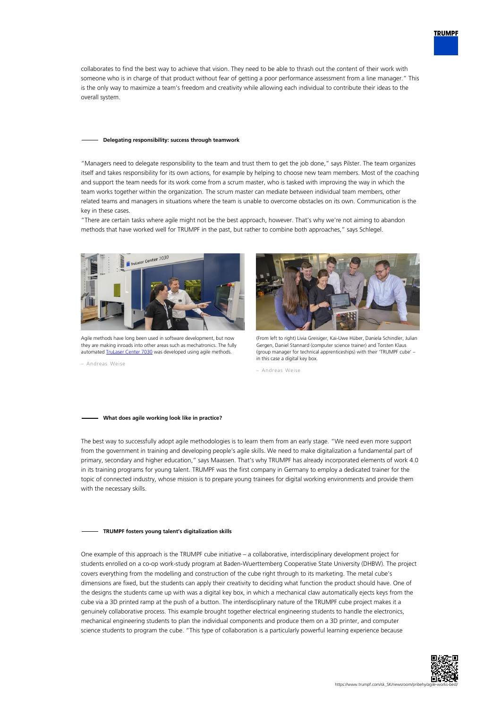collaborates to find the best way to achieve that vision. They need to be able to thrash out the content of their work with someone who is in charge of that product without fear of getting a poor performance assessment from a line manager." This is the only way to maximize a team's freedom and creativity while allowing each individual to contribute their ideas to the overall system.

### **Delegating responsibility: success through teamwork**

"Managers need to delegate responsibility to the team and trust them to get the job done," says Pilster. The team organizes itself and takes responsibility for its own actions, for example by helping to choose new team members. Most of the coaching and support the team needs for its work come from a scrum master, who is tasked with improving the way in which the team works together within the organization. The scrum master can mediate between individual team members, other related teams and managers in situations where the team is unable to overcome obstacles on its own. Communication is the key in these cases.

"There are certain tasks where agile might not be the best approach, however. That's why we're not aiming to abandon methods that have worked well for TRUMPF in the past, but rather to combine both approaches," says Schlegel.



Agile methods have long been used in software development, but now they are making inroads into other areas such as mechatronics. The fully automated [TruLaser Center 7030](#page--1-0) was developed using agile methods.

– Andreas Weise



(From left to right) Livia Greisiger, Kai-Uwe Hüber, Daniela Schindler, Julian Gergen, Daniel Stannard (computer science trainer) and Torsten Klaus (group manager for technical apprenticeships) with their 'TRUMPF cube' – in this case a digital key box.

– Andreas Weise

### **What does agile working look like in practice?**

The best way to successfully adopt agile methodologies is to learn them from an early stage. "We need even more support from the government in training and developing people's agile skills. We need to make digitalization a fundamental part of primary, secondary and higher education," says Maassen. That's why TRUMPF has already incorporated elements of work 4.0 in its training programs for young talent. TRUMPF was the first company in Germany to employ a dedicated trainer for the topic of connected industry, whose mission is to prepare young trainees for digital working environments and provide them with the necessary skills.

#### **TRUMPF fosters young talent's digitalization skills**

One example of this approach is the TRUMPF cube initiative – a collaborative, interdisciplinary development project for students enrolled on a co-op work-study program at Baden-Wuerttemberg Cooperative State University (DHBW). The project covers everything from the modelling and construction of the cube right through to its marketing. The metal cube's dimensions are fixed, but the students can apply their creativity to deciding what function the product should have. One of the designs the students came up with was a digital key box, in which a mechanical claw automatically ejects keys from the cube via a 3D printed ramp at the push of a button. The interdisciplinary nature of the TRUMPF cube project makes it a genuinely collaborative process. This example brought together electrical engineering students to handle the electronics, mechanical engineering students to plan the individual components and produce them on a 3D printer, and computer science students to program the cube. "This type of collaboration is a particularly powerful learning experience because